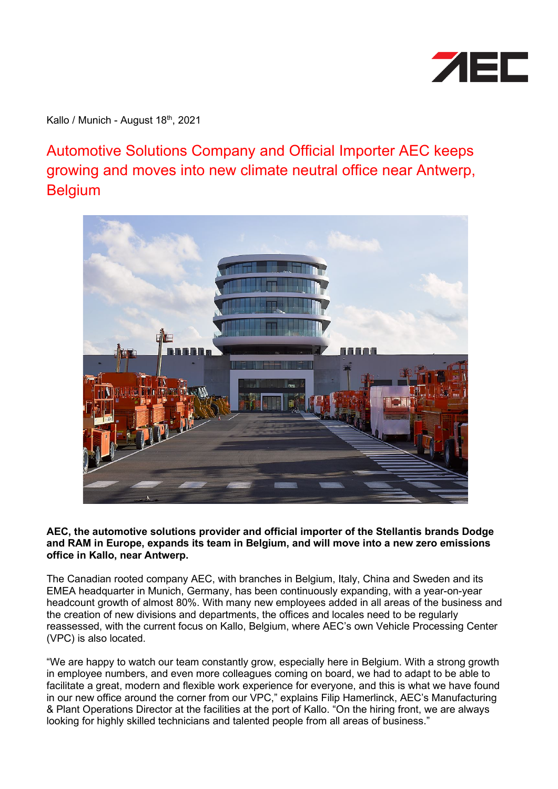

Kallo / Munich - August 18<sup>th</sup>, 2021

Automotive Solutions Company and Official Importer AEC keeps growing and moves into new climate neutral office near Antwerp, **Belgium** 



**AEC, the automotive solutions provider and official importer of the Stellantis brands Dodge and RAM in Europe, expands its team in Belgium, and will move into a new zero emissions office in Kallo, near Antwerp.**

The Canadian rooted company AEC, with branches in Belgium, Italy, China and Sweden and its EMEA headquarter in Munich, Germany, has been continuously expanding, with a year-on-year headcount growth of almost 80%. With many new employees added in all areas of the business and the creation of new divisions and departments, the offices and locales need to be regularly reassessed, with the current focus on Kallo, Belgium, where AEC's own Vehicle Processing Center (VPC) is also located.

"We are happy to watch our team constantly grow, especially here in Belgium. With a strong growth in employee numbers, and even more colleagues coming on board, we had to adapt to be able to facilitate a great, modern and flexible work experience for everyone, and this is what we have found in our new office around the corner from our VPC," explains Filip Hamerlinck, AEC's Manufacturing & Plant Operations Director at the facilities at the port of Kallo. "On the hiring front, we are always looking for highly skilled technicians and talented people from all areas of business."